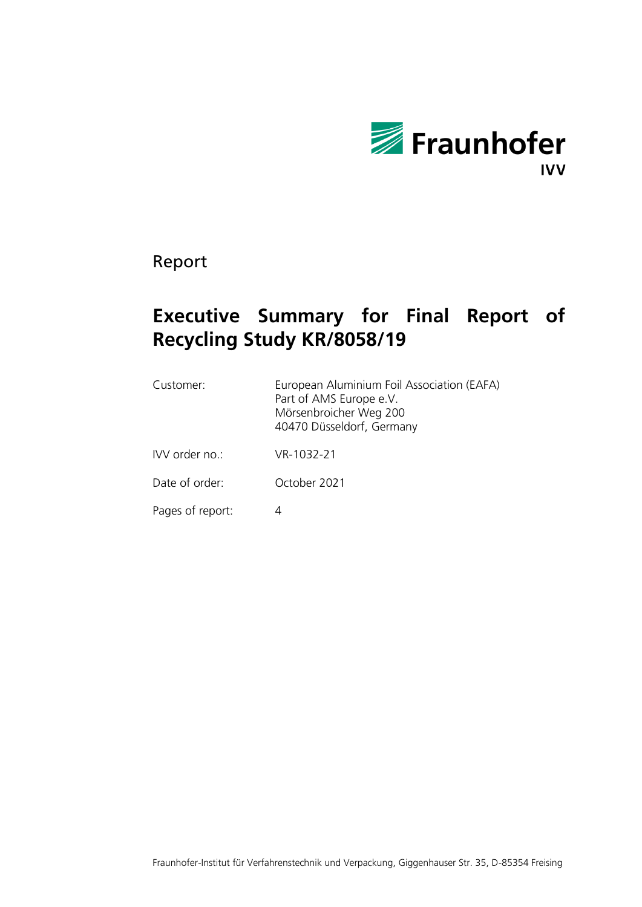

Report

## **Executive Summary for Final Report of Recycling Study KR/8058/19**

| Customer:        | European Aluminium Foil Association (EAFA)<br>Part of AMS Europe e.V.<br>Mörsenbroicher Weg 200<br>40470 Düsseldorf, Germany |
|------------------|------------------------------------------------------------------------------------------------------------------------------|
| IVV order no.:   | VR-1032-21                                                                                                                   |
| Date of order:   | October 2021                                                                                                                 |
| Pages of report: |                                                                                                                              |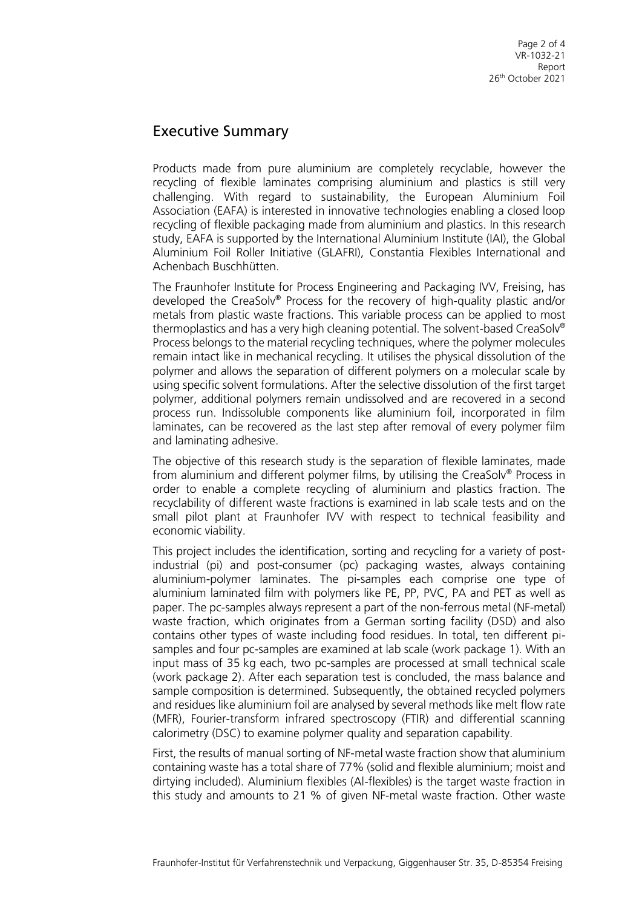## Executive Summary

Products made from pure aluminium are completely recyclable, however the recycling of flexible laminates comprising aluminium and plastics is still very challenging. With regard to sustainability, the European Aluminium Foil Association (EAFA) is interested in innovative technologies enabling a closed loop recycling of flexible packaging made from aluminium and plastics. In this research study, EAFA is supported by the International Aluminium Institute (IAI), the Global Aluminium Foil Roller Initiative (GLAFRI), Constantia Flexibles International and Achenbach Buschhütten.

The Fraunhofer Institute for Process Engineering and Packaging IVV, Freising, has developed the CreaSolv® Process for the recovery of high-quality plastic and/or metals from plastic waste fractions. This variable process can be applied to most thermoplastics and has a very high cleaning potential. The solvent-based CreaSolv® Process belongs to the material recycling techniques, where the polymer molecules remain intact like in mechanical recycling. It utilises the physical dissolution of the polymer and allows the separation of different polymers on a molecular scale by using specific solvent formulations. After the selective dissolution of the first target polymer, additional polymers remain undissolved and are recovered in a second process run. Indissoluble components like aluminium foil, incorporated in film laminates, can be recovered as the last step after removal of every polymer film and laminating adhesive.

The objective of this research study is the separation of flexible laminates, made from aluminium and different polymer films, by utilising the CreaSolv® Process in order to enable a complete recycling of aluminium and plastics fraction. The recyclability of different waste fractions is examined in lab scale tests and on the small pilot plant at Fraunhofer IVV with respect to technical feasibility and economic viability.

This project includes the identification, sorting and recycling for a variety of postindustrial (pi) and post-consumer (pc) packaging wastes, always containing aluminium-polymer laminates. The pi-samples each comprise one type of aluminium laminated film with polymers like PE, PP, PVC, PA and PET as well as paper. The pc-samples always represent a part of the non-ferrous metal (NF-metal) waste fraction, which originates from a German sorting facility (DSD) and also contains other types of waste including food residues. In total, ten different pisamples and four pc-samples are examined at lab scale (work package 1). With an input mass of 35 kg each, two pc-samples are processed at small technical scale (work package 2). After each separation test is concluded, the mass balance and sample composition is determined. Subsequently, the obtained recycled polymers and residues like aluminium foil are analysed by several methods like melt flow rate (MFR), Fourier-transform infrared spectroscopy (FTIR) and differential scanning calorimetry (DSC) to examine polymer quality and separation capability.

First, the results of manual sorting of NF-metal waste fraction show that aluminium containing waste has a total share of 77% (solid and flexible aluminium; moist and dirtying included). Aluminium flexibles (Al-flexibles) is the target waste fraction in this study and amounts to 21 % of given NF-metal waste fraction. Other waste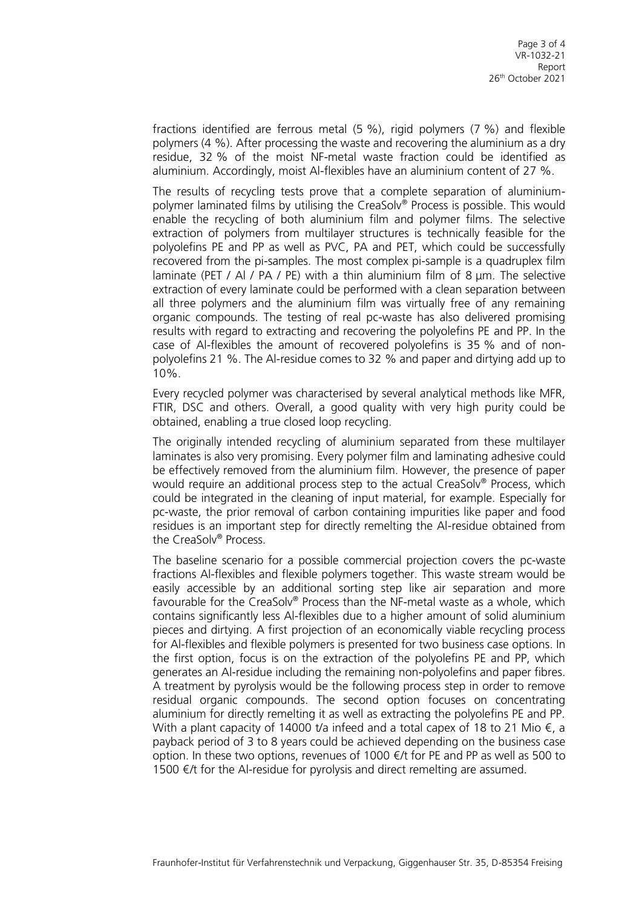fractions identified are ferrous metal (5 %), rigid polymers (7 %) and flexible polymers (4 %). After processing the waste and recovering the aluminium as a dry residue, 32 % of the moist NF-metal waste fraction could be identified as aluminium. Accordingly, moist Al-flexibles have an aluminium content of 27 %.

The results of recycling tests prove that a complete separation of aluminiumpolymer laminated films by utilising the CreaSolv® Process is possible. This would enable the recycling of both aluminium film and polymer films. The selective extraction of polymers from multilayer structures is technically feasible for the polyolefins PE and PP as well as PVC, PA and PET, which could be successfully recovered from the pi-samples. The most complex pi-sample is a quadruplex film laminate (PET / Al / PA / PE) with a thin aluminium film of 8  $\mu$ m. The selective extraction of every laminate could be performed with a clean separation between all three polymers and the aluminium film was virtually free of any remaining organic compounds. The testing of real pc-waste has also delivered promising results with regard to extracting and recovering the polyolefins PE and PP. In the case of Al-flexibles the amount of recovered polyolefins is 35 % and of nonpolyolefins 21 %. The Al-residue comes to 32 % and paper and dirtying add up to  $10%$ .

Every recycled polymer was characterised by several analytical methods like MFR, FTIR, DSC and others. Overall, a good quality with very high purity could be obtained, enabling a true closed loop recycling.

The originally intended recycling of aluminium separated from these multilayer laminates is also very promising. Every polymer film and laminating adhesive could be effectively removed from the aluminium film. However, the presence of paper would require an additional process step to the actual CreaSolv® Process, which could be integrated in the cleaning of input material, for example. Especially for pc-waste, the prior removal of carbon containing impurities like paper and food residues is an important step for directly remelting the Al-residue obtained from the CreaSolv® Process.

The baseline scenario for a possible commercial projection covers the pc-waste fractions Al-flexibles and flexible polymers together. This waste stream would be easily accessible by an additional sorting step like air separation and more favourable for the CreaSolv® Process than the NF-metal waste as a whole, which contains significantly less Al-flexibles due to a higher amount of solid aluminium pieces and dirtying. A first projection of an economically viable recycling process for Al-flexibles and flexible polymers is presented for two business case options. In the first option, focus is on the extraction of the polyolefins PE and PP, which generates an Al-residue including the remaining non-polyolefins and paper fibres. A treatment by pyrolysis would be the following process step in order to remove residual organic compounds. The second option focuses on concentrating aluminium for directly remelting it as well as extracting the polyolefins PE and PP. With a plant capacity of 14000 t/a infeed and a total capex of 18 to 21 Mio  $\epsilon$ , a payback period of 3 to 8 years could be achieved depending on the business case option. In these two options, revenues of 1000  $\notin$ /t for PE and PP as well as 500 to 1500  $€/t$  for the Al-residue for pyrolysis and direct remelting are assumed.